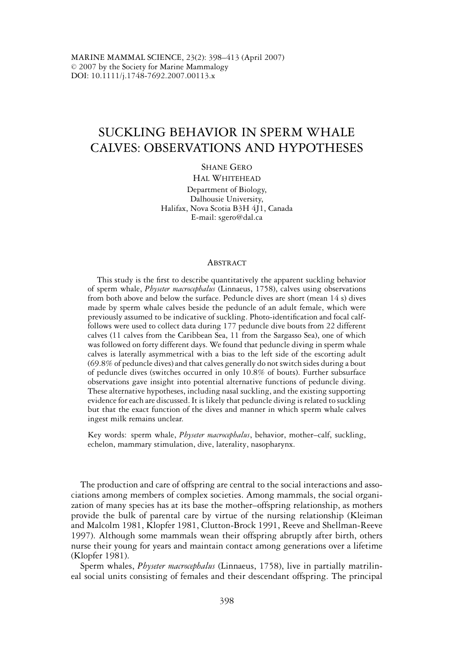# SUCKLING BEHAVIOR IN SPERM WHALE CALVES: OBSERVATIONS AND HYPOTHESES

# SHANE GERO

HAL WHITEHEAD Department of Biology, Dalhousie University, Halifax, Nova Scotia B3H 4J1, Canada E-mail: sgero@dal.ca

# ABSTRACT

This study is the first to describe quantitatively the apparent suckling behavior of sperm whale, *Physeter macrocephalus* (Linnaeus, 1758), calves using observations from both above and below the surface. Peduncle dives are short (mean 14 s) dives made by sperm whale calves beside the peduncle of an adult female, which were previously assumed to be indicative of suckling. Photo-identification and focal calffollows were used to collect data during 177 peduncle dive bouts from 22 different calves (11 calves from the Caribbean Sea, 11 from the Sargasso Sea), one of which was followed on forty different days. We found that peduncle diving in sperm whale calves is laterally asymmetrical with a bias to the left side of the escorting adult (69.8% of peduncle dives) and that calves generally do not switch sides during a bout of peduncle dives (switches occurred in only 10.8% of bouts). Further subsurface observations gave insight into potential alternative functions of peduncle diving. These alternative hypotheses, including nasal suckling, and the existing supporting evidence for each are discussed. It is likely that peduncle diving is related to suckling but that the exact function of the dives and manner in which sperm whale calves ingest milk remains unclear.

Key words: sperm whale, *Physeter macrocephalus*, behavior, mother–calf, suckling, echelon, mammary stimulation, dive, laterality, nasopharynx.

The production and care of offspring are central to the social interactions and associations among members of complex societies. Among mammals, the social organization of many species has at its base the mother–offspring relationship, as mothers provide the bulk of parental care by virtue of the nursing relationship (Kleiman and Malcolm 1981, Klopfer 1981, Clutton-Brock 1991, Reeve and Shellman-Reeve 1997). Although some mammals wean their offspring abruptly after birth, others nurse their young for years and maintain contact among generations over a lifetime (Klopfer 1981).

Sperm whales, *Physeter macrocephalus* (Linnaeus, 1758), live in partially matrilineal social units consisting of females and their descendant offspring. The principal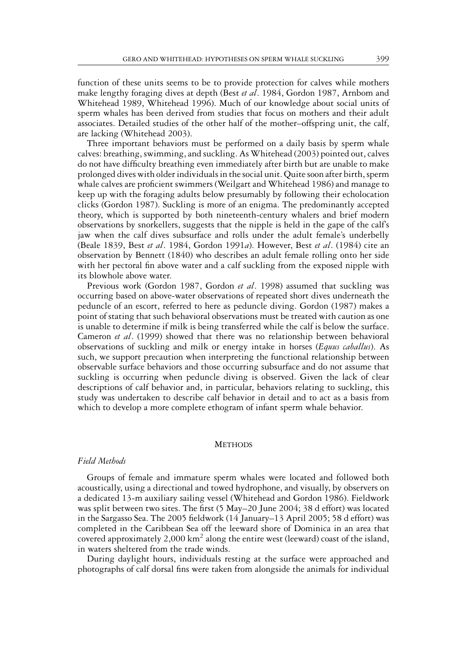function of these units seems to be to provide protection for calves while mothers make lengthy foraging dives at depth (Best *et al*. 1984, Gordon 1987, Arnbom and Whitehead 1989, Whitehead 1996). Much of our knowledge about social units of sperm whales has been derived from studies that focus on mothers and their adult associates. Detailed studies of the other half of the mother–offspring unit, the calf, are lacking (Whitehead 2003).

Three important behaviors must be performed on a daily basis by sperm whale calves: breathing, swimming, and suckling. As Whitehead (2003) pointed out, calves do not have difficulty breathing even immediately after birth but are unable to make prolonged dives with older individuals in the social unit. Quite soon after birth, sperm whale calves are proficient swimmers (Weilgart and Whitehead 1986) and manage to keep up with the foraging adults below presumably by following their echolocation clicks (Gordon 1987). Suckling is more of an enigma. The predominantly accepted theory, which is supported by both nineteenth-century whalers and brief modern observations by snorkellers, suggests that the nipple is held in the gape of the calf's jaw when the calf dives subsurface and rolls under the adult female's underbelly (Beale 1839, Best *et al*. 1984, Gordon 1991*a*). However, Best *et al*. (1984) cite an observation by Bennett (1840) who describes an adult female rolling onto her side with her pectoral fin above water and a calf suckling from the exposed nipple with its blowhole above water.

Previous work (Gordon 1987, Gordon *et al*. 1998) assumed that suckling was occurring based on above-water observations of repeated short dives underneath the peduncle of an escort, referred to here as peduncle diving. Gordon (1987) makes a point of stating that such behavioral observations must be treated with caution as one is unable to determine if milk is being transferred while the calf is below the surface. Cameron *et al*. (1999) showed that there was no relationship between behavioral observations of suckling and milk or energy intake in horses (*Equus caballus*). As such, we support precaution when interpreting the functional relationship between observable surface behaviors and those occurring subsurface and do not assume that suckling is occurring when peduncle diving is observed. Given the lack of clear descriptions of calf behavior and, in particular, behaviors relating to suckling, this study was undertaken to describe calf behavior in detail and to act as a basis from which to develop a more complete ethogram of infant sperm whale behavior.

#### **METHODS**

# *Field Methods*

Groups of female and immature sperm whales were located and followed both acoustically, using a directional and towed hydrophone, and visually, by observers on a dedicated 13-m auxiliary sailing vessel (Whitehead and Gordon 1986). Fieldwork was split between two sites. The first (5 May–20 June 2004; 38 d effort) was located in the Sargasso Sea. The 2005 fieldwork (14 January–13 April 2005; 58 d effort) was completed in the Caribbean Sea off the leeward shore of Dominica in an area that covered approximately 2,000  $km^2$  along the entire west (leeward) coast of the island, in waters sheltered from the trade winds.

During daylight hours, individuals resting at the surface were approached and photographs of calf dorsal fins were taken from alongside the animals for individual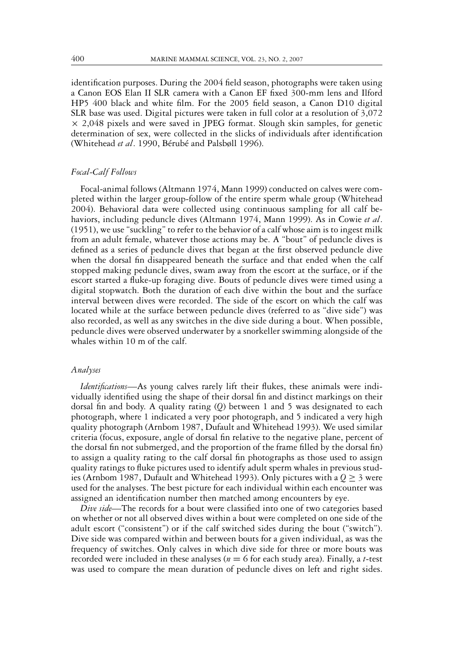identification purposes. During the 2004 field season, photographs were taken using a Canon EOS Elan II SLR camera with a Canon EF fixed 300-mm lens and Ilford HP5 400 black and white film. For the 2005 field season, a Canon D10 digital SLR base was used. Digital pictures were taken in full color at a resolution of 3,072  $\times$  2,048 pixels and were saved in JPEG format. Slough skin samples, for genetic determination of sex, were collected in the slicks of individuals after identification (Whitehead et al. 1990, Bérubé and Palsbøll 1996).

#### *Focal-Calf Follows*

Focal-animal follows (Altmann 1974, Mann 1999) conducted on calves were completed within the larger group-follow of the entire sperm whale group (Whitehead 2004). Behavioral data were collected using continuous sampling for all calf behaviors, including peduncle dives (Altmann 1974, Mann 1999). As in Cowie *et al*. (1951), we use"suckling" to refer to the behavior of a calf whose aim is to ingest milk from an adult female, whatever those actions may be. A "bout" of peduncle dives is defined as a series of peduncle dives that began at the first observed peduncle dive when the dorsal fin disappeared beneath the surface and that ended when the calf stopped making peduncle dives, swam away from the escort at the surface, or if the escort started a fluke-up foraging dive. Bouts of peduncle dives were timed using a digital stopwatch. Both the duration of each dive within the bout and the surface interval between dives were recorded. The side of the escort on which the calf was located while at the surface between peduncle dives (referred to as "dive side") was also recorded, as well as any switches in the dive side during a bout. When possible, peduncle dives were observed underwater by a snorkeller swimming alongside of the whales within 10 m of the calf.

# *Analyses*

*Identifications*—As young calves rarely lift their flukes, these animals were individually identified using the shape of their dorsal fin and distinct markings on their dorsal fin and body. A quality rating (*Q*) between 1 and 5 was designated to each photograph, where 1 indicated a very poor photograph, and 5 indicated a very high quality photograph (Arnbom 1987, Dufault and Whitehead 1993). We used similar criteria (focus, exposure, angle of dorsal fin relative to the negative plane, percent of the dorsal fin not submerged, and the proportion of the frame filled by the dorsal fin) to assign a quality rating to the calf dorsal fin photographs as those used to assign quality ratings to fluke pictures used to identify adult sperm whales in previous studies (Arnbom 1987, Dufault and Whitehead 1993). Only pictures with a *Q* ≥ 3 were used for the analyses. The best picture for each individual within each encounter was assigned an identification number then matched among encounters by eye.

*Dive side*—The records for a bout were classified into one of two categories based on whether or not all observed dives within a bout were completed on one side of the adult escort ("consistent") or if the calf switched sides during the bout ("switch"). Dive side was compared within and between bouts for a given individual, as was the frequency of switches. Only calves in which dive side for three or more bouts was recorded were included in these analyses (*n* = 6 for each study area). Finally, a *t*-test was used to compare the mean duration of peduncle dives on left and right sides.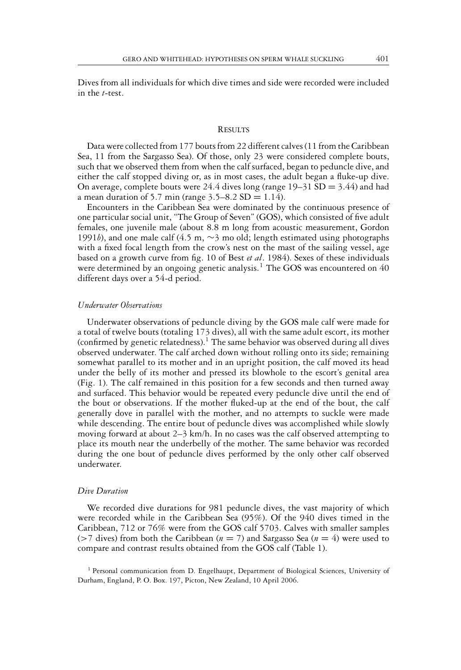Dives from all individuals for which dive times and side were recorded were included in the *t*-test.

#### RESULTS

Data were collected from 177 bouts from 22 different calves (11 from the Caribbean Sea, 11 from the Sargasso Sea). Of those, only 23 were considered complete bouts, such that we observed them from when the calf surfaced, began to peduncle dive, and either the calf stopped diving or, as in most cases, the adult began a fluke-up dive. On average, complete bouts were 24.4 dives long (range  $19-31$  SD =  $3.44$ ) and had a mean duration of 5.7 min (range  $3.5-8.2$  SD = 1.14).

Encounters in the Caribbean Sea were dominated by the continuous presence of one particular social unit, "The Group of Seven" (GOS), which consisted of five adult females, one juvenile male (about 8.8 m long from acoustic measurement, Gordon 1991*b*), and one male calf (4.5 m, ∼3 mo old; length estimated using photographs with a fixed focal length from the crow's nest on the mast of the sailing vessel, age based on a growth curve from fig. 10 of Best *et al*. 1984). Sexes of these individuals were determined by an ongoing genetic analysis.<sup>1</sup> The GOS was encountered on  $40$ different days over a 54-d period.

#### *Underwater Observations*

Underwater observations of peduncle diving by the GOS male calf were made for a total of twelve bouts (totaling 173 dives), all with the same adult escort, its mother (confirmed by genetic relatedness).<sup>1</sup> The same behavior was observed during all dives observed underwater. The calf arched down without rolling onto its side; remaining somewhat parallel to its mother and in an upright position, the calf moved its head under the belly of its mother and pressed its blowhole to the escort's genital area (Fig. 1). The calf remained in this position for a few seconds and then turned away and surfaced. This behavior would be repeated every peduncle dive until the end of the bout or observations. If the mother fluked-up at the end of the bout, the calf generally dove in parallel with the mother, and no attempts to suckle were made while descending. The entire bout of peduncle dives was accomplished while slowly moving forward at about 2–3 km/h. In no cases was the calf observed attempting to place its mouth near the underbelly of the mother. The same behavior was recorded during the one bout of peduncle dives performed by the only other calf observed underwater.

#### *Dive Duration*

We recorded dive durations for 981 peduncle dives, the vast majority of which were recorded while in the Caribbean Sea (95%). Of the 940 dives timed in the Caribbean, 712 or 76% were from the GOS calf 5703. Calves with smaller samples ( $>7$  dives) from both the Caribbean ( $n = 7$ ) and Sargasso Sea ( $n = 4$ ) were used to compare and contrast results obtained from the GOS calf (Table 1).

<sup>1</sup> Personal communication from D. Engelhaupt, Department of Biological Sciences, University of Durham, England, P. O. Box. 197, Picton, New Zealand, 10 April 2006.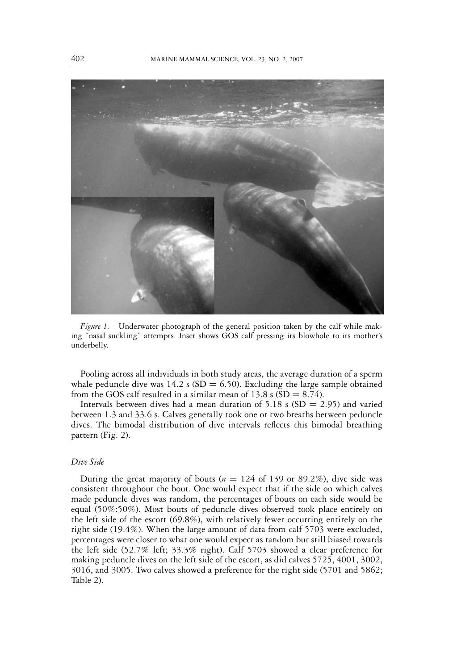

*Figure 1.* Underwater photograph of the general position taken by the calf while making "nasal suckling" attempts. Inset shows GOS calf pressing its blowhole to its mother's underbelly.

Pooling across all individuals in both study areas, the average duration of a sperm whale peduncle dive was  $14.2$  s (SD = 6.50). Excluding the large sample obtained from the GOS calf resulted in a similar mean of 13.8 s  $(SD = 8.74)$ .

Intervals between dives had a mean duration of 5.18 s  $(SD = 2.95)$  and varied between 1.3 and 33.6 s. Calves generally took one or two breaths between peduncle dives. The bimodal distribution of dive intervals reflects this bimodal breathing pattern (Fig. 2).

# *Dive Side*

During the great majority of bouts ( $n = 124$  of 139 or 89.2%), dive side was consistent throughout the bout. One would expect that if the side on which calves made peduncle dives was random, the percentages of bouts on each side would be equal (50%:50%). Most bouts of peduncle dives observed took place entirely on the left side of the escort (69.8%), with relatively fewer occurring entirely on the right side (19.4%). When the large amount of data from calf 5703 were excluded, percentages were closer to what one would expect as random but still biased towards the left side (52.7% left; 33.3% right). Calf 5703 showed a clear preference for making peduncle dives on the left side of the escort, as did calves 5725, 4001, 3002, 3016, and 3005. Two calves showed a preference for the right side (5701 and 5862; Table 2).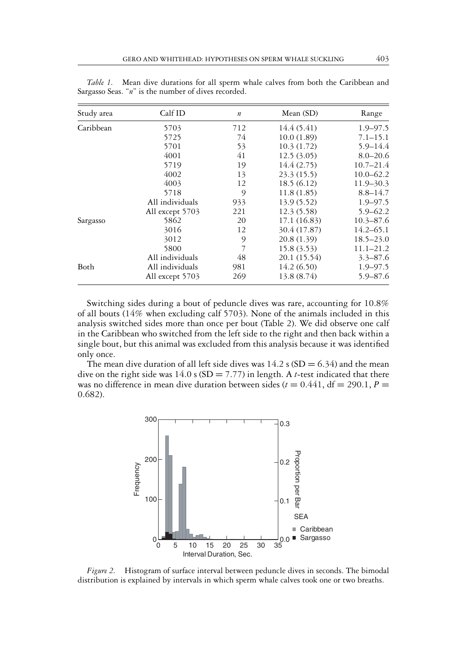| Study area | Calf ID         | $\boldsymbol{n}$ | Mean (SD)    | Range         |
|------------|-----------------|------------------|--------------|---------------|
| Caribbean  | 5703            | 712              | 14.4 (5.41)  | $1.9 - 97.5$  |
|            | 5725            | 74               | 10.0 (1.89)  | $7.1 - 15.1$  |
|            | 5701            | 53               | 10.3 (1.72)  | $5.9 - 14.4$  |
|            | 4001            | 41               | 12.5(3.05)   | $8.0 - 20.6$  |
|            | 5719            | 19               | 14.4(2.75)   | $10.7 - 21.4$ |
|            | 4002            | 13               | 23.3(15.5)   | $10.0 - 62.2$ |
|            | 4003            | 12               | 18.5 (6.12)  | $11.9 - 30.3$ |
|            | 5718            | 9                | 11.8(1.85)   | $8.8 - 14.7$  |
|            | All individuals | 933              | 13.9 (5.52)  | $1.9 - 97.5$  |
|            | All except 5703 | 221              | 12.3 (5.58)  | $5.9 - 62.2$  |
| Sargasso   | 5862            | 20               | 17.1 (16.83) | $10.3 - 87.6$ |
|            | 3016            | 12               | 30.4 (17.87) | $14.2 - 65.1$ |
|            | 3012            | 9                | 20.8 (1.39)  | $18.5 - 23.0$ |
|            | 5800            | 7                | 15.8(3.53)   | $11.1 - 21.2$ |
|            | All individuals | 48               | 20.1 (15.54) | $3.3 - 87.6$  |
| Both       | All individuals | 981              | 14.2(6.50)   | $1.9 - 97.5$  |
|            | All except 5703 | 269              | 13.8 (8.74)  | $5.9 - 87.6$  |

*Table 1.* Mean dive durations for all sperm whale calves from both the Caribbean and Sargasso Seas. "*n*" is the number of dives recorded.

Switching sides during a bout of peduncle dives was rare, accounting for 10.8% of all bouts (14% when excluding calf 5703). None of the animals included in this analysis switched sides more than once per bout (Table 2). We did observe one calf in the Caribbean who switched from the left side to the right and then back within a single bout, but this animal was excluded from this analysis because it was identified only once.

The mean dive duration of all left side dives was  $14.2$  s (SD = 6.34) and the mean dive on the right side was  $14.0$  s (SD = 7.77) in length. A *t*-test indicated that there was no difference in mean dive duration between sides ( $t = 0.441$ , df = 290.1,  $P =$ 0.682).



*Figure 2.* Histogram of surface interval between peduncle dives in seconds. The bimodal distribution is explained by intervals in which sperm whale calves took one or two breaths.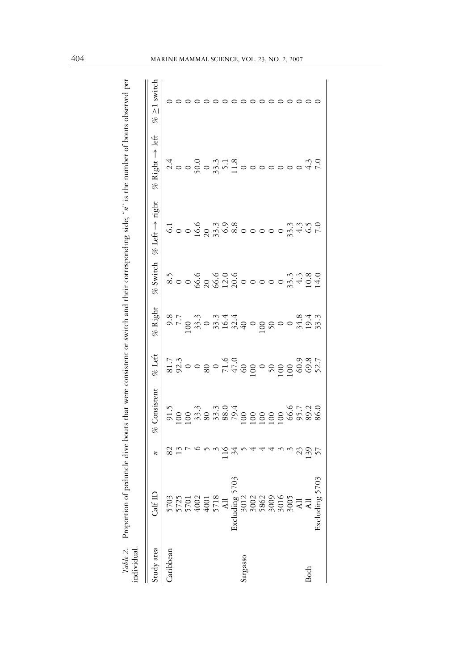| ndividual.  | Table 2. Proportion of p                                                                                                                                        |                 |             |                         | hat were consistent or switch and |          | corresponding side: "         | is the number                 | bserved               |
|-------------|-----------------------------------------------------------------------------------------------------------------------------------------------------------------|-----------------|-------------|-------------------------|-----------------------------------|----------|-------------------------------|-------------------------------|-----------------------|
| udy area    | $Caif$ ID                                                                                                                                                       | z               | % Consisten | $\%$<br><br>Left        | $\%$ Right                        | % Switch | $\%$ Left $\rightarrow$ right | $\%$ Right $\rightarrow$ left | $\geq$ 1 switc<br>sk. |
| Caribbean   |                                                                                                                                                                 |                 |             |                         |                                   |          |                               |                               |                       |
|             |                                                                                                                                                                 | $\frac{82}{13}$ |             |                         |                                   |          |                               |                               |                       |
|             |                                                                                                                                                                 |                 |             |                         |                                   |          |                               |                               |                       |
|             |                                                                                                                                                                 |                 |             |                         |                                   |          |                               |                               |                       |
|             |                                                                                                                                                                 |                 |             |                         |                                   |          |                               |                               |                       |
|             | $\begin{array}{l} 5703\\ 5725\\ 5701\\ 4002\\ 4001\\ 7718\\ 5718\\ 718\\ 8.11\\ 21\\ 3012\\ 718\\ 3002\\ 3003\\ 3008\\ 500\\ 500\\ 500\\ 41\\ 41\\ \end{array}$ |                 |             | 8230080 148800888008877 |                                   |          |                               |                               |                       |
|             |                                                                                                                                                                 |                 |             |                         |                                   |          |                               |                               |                       |
|             | 703                                                                                                                                                             | $16 \cancel{2}$ |             |                         |                                   |          |                               |                               |                       |
| Sargasso    |                                                                                                                                                                 |                 |             |                         |                                   |          |                               |                               |                       |
|             |                                                                                                                                                                 |                 |             |                         |                                   |          |                               |                               |                       |
|             |                                                                                                                                                                 |                 |             |                         |                                   |          |                               | $\circ$                       |                       |
|             |                                                                                                                                                                 |                 |             |                         |                                   |          |                               |                               |                       |
|             |                                                                                                                                                                 |                 |             |                         |                                   |          |                               | 00043                         |                       |
|             |                                                                                                                                                                 |                 |             |                         |                                   |          |                               |                               |                       |
|             |                                                                                                                                                                 |                 |             |                         |                                   |          |                               |                               |                       |
| <b>Both</b> |                                                                                                                                                                 | 5957            |             |                         |                                   |          |                               |                               |                       |
|             | 703<br>7<br>Excluding 5.                                                                                                                                        |                 |             |                         |                                   |          |                               |                               |                       |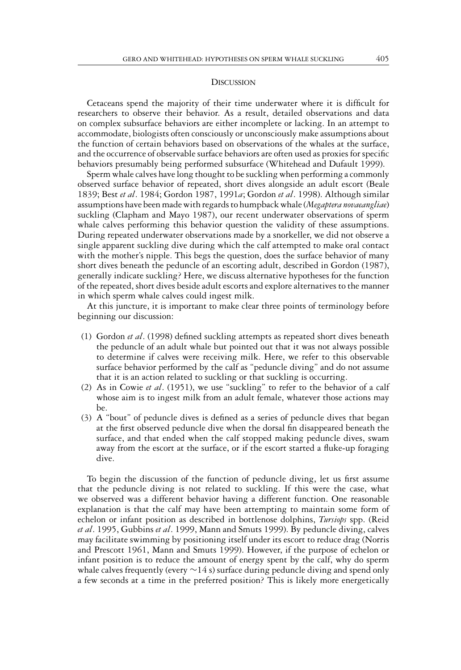#### **DISCUSSION**

Cetaceans spend the majority of their time underwater where it is difficult for researchers to observe their behavior. As a result, detailed observations and data on complex subsurface behaviors are either incomplete or lacking. In an attempt to accommodate, biologists often consciously or unconsciously make assumptions about the function of certain behaviors based on observations of the whales at the surface, and the occurrence of observable surface behaviors are often used as proxies for specific behaviors presumably being performed subsurface (Whitehead and Dufault 1999).

Sperm whale calves have long thought to be suckling when performing a commonly observed surface behavior of repeated, short dives alongside an adult escort (Beale 1839; Best *et al*. 1984; Gordon 1987, 1991*a*; Gordon *et al*. 1998). Although similar assumptions have been made with regards to humpback whale (*Megaptera novaeangliae*) suckling (Clapham and Mayo 1987), our recent underwater observations of sperm whale calves performing this behavior question the validity of these assumptions. During repeated underwater observations made by a snorkeller, we did not observe a single apparent suckling dive during which the calf attempted to make oral contact with the mother's nipple. This begs the question, does the surface behavior of many short dives beneath the peduncle of an escorting adult, described in Gordon (1987), generally indicate suckling? Here, we discuss alternative hypotheses for the function of the repeated, short dives beside adult escorts and explore alternatives to the manner in which sperm whale calves could ingest milk.

At this juncture, it is important to make clear three points of terminology before beginning our discussion:

- (1) Gordon *et al*. (1998) defined suckling attempts as repeated short dives beneath the peduncle of an adult whale but pointed out that it was not always possible to determine if calves were receiving milk. Here, we refer to this observable surface behavior performed by the calf as "peduncle diving" and do not assume that it is an action related to suckling or that suckling is occurring.
- (2) As in Cowie *et al*. (1951), we use "suckling" to refer to the behavior of a calf whose aim is to ingest milk from an adult female, whatever those actions may be.
- (3) A "bout" of peduncle dives is defined as a series of peduncle dives that began at the first observed peduncle dive when the dorsal fin disappeared beneath the surface, and that ended when the calf stopped making peduncle dives, swam away from the escort at the surface, or if the escort started a fluke-up foraging dive.

To begin the discussion of the function of peduncle diving, let us first assume that the peduncle diving is not related to suckling. If this were the case, what we observed was a different behavior having a different function. One reasonable explanation is that the calf may have been attempting to maintain some form of echelon or infant position as described in bottlenose dolphins, *Tursiops* spp. (Reid *et al*. 1995, Gubbins *et al*. 1999, Mann and Smuts 1999). By peduncle diving, calves may facilitate swimming by positioning itself under its escort to reduce drag (Norris and Prescott 1961, Mann and Smuts 1999). However, if the purpose of echelon or infant position is to reduce the amount of energy spent by the calf, why do sperm whale calves frequently (every  $\sim$ 14 s) surface during peduncle diving and spend only a few seconds at a time in the preferred position? This is likely more energetically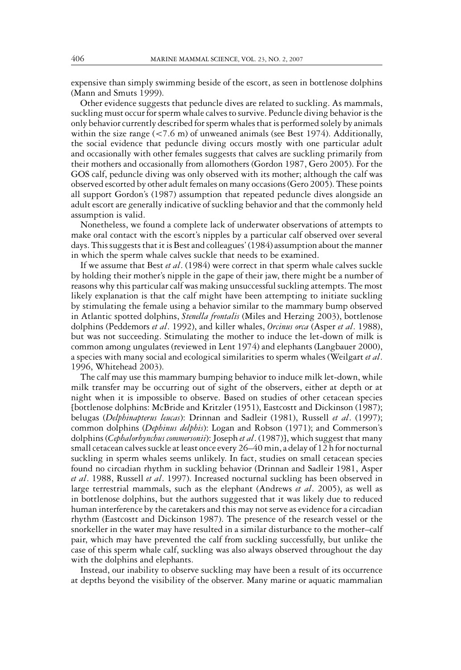expensive than simply swimming beside of the escort, as seen in bottlenose dolphins (Mann and Smuts 1999).

Other evidence suggests that peduncle dives are related to suckling. As mammals, suckling must occur for sperm whale calves to survive. Peduncle diving behavior is the only behavior currently described for sperm whales that is performed solely by animals within the size range  $\left( \langle 7.6 \rangle \right)$  of unweaned animals (see Best 1974). Additionally, the social evidence that peduncle diving occurs mostly with one particular adult and occasionally with other females suggests that calves are suckling primarily from their mothers and occasionally from allomothers (Gordon 1987, Gero 2005). For the GOS calf, peduncle diving was only observed with its mother; although the calf was observed escorted by other adult females on many occasions (Gero 2005). These points all support Gordon's (1987) assumption that repeated peduncle dives alongside an adult escort are generally indicative of suckling behavior and that the commonly held assumption is valid.

Nonetheless, we found a complete lack of underwater observations of attempts to make oral contact with the escort's nipples by a particular calf observed over several days. This suggests that it is Best and colleagues' (1984) assumption about the manner in which the sperm whale calves suckle that needs to be examined.

If we assume that Best *et al*. (1984) were correct in that sperm whale calves suckle by holding their mother's nipple in the gape of their jaw, there might be a number of reasons why this particular calf was making unsuccessful suckling attempts. The most likely explanation is that the calf might have been attempting to initiate suckling by stimulating the female using a behavior similar to the mammary bump observed in Atlantic spotted dolphins, *Stenella frontalis* (Miles and Herzing 2003), bottlenose dolphins (Peddemors *et al*. 1992), and killer whales, *Orcinus orca* (Asper *et al*. 1988), but was not succeeding. Stimulating the mother to induce the let-down of milk is common among ungulates (reviewed in Lent 1974) and elephants (Langbauer 2000), a species with many social and ecological similarities to sperm whales (Weilgart *et al*. 1996, Whitehead 2003).

The calf may use this mammary bumping behavior to induce milk let-down, while milk transfer may be occurring out of sight of the observers, either at depth or at night when it is impossible to observe. Based on studies of other cetacean species [bottlenose dolphins: McBride and Kritzler (1951), Eastcostt and Dickinson (1987); belugas (*Delphinapterus leucas*): Drinnan and Sadleir (1981), Russell *et al*. (1997); common dolphins (*Dephinus delphis*): Logan and Robson (1971); and Commerson's dolphins (*Cephalorhynchus commersonii*): Joseph *et al*. (1987)], which suggest that many small cetacean calves suckle at least once every 26–40 min, a delay of 12 h for nocturnal suckling in sperm whales seems unlikely. In fact, studies on small cetacean species found no circadian rhythm in suckling behavior (Drinnan and Sadleir 1981, Asper *et al*. 1988, Russell *et al*. 1997). Increased nocturnal suckling has been observed in large terrestrial mammals, such as the elephant (Andrews *et al*. 2005), as well as in bottlenose dolphins, but the authors suggested that it was likely due to reduced human interference by the caretakers and this may not serve as evidence for a circadian rhythm (Eastcostt and Dickinson 1987). The presence of the research vessel or the snorkeller in the water may have resulted in a similar disturbance to the mother–calf pair, which may have prevented the calf from suckling successfully, but unlike the case of this sperm whale calf, suckling was also always observed throughout the day with the dolphins and elephants.

Instead, our inability to observe suckling may have been a result of its occurrence at depths beyond the visibility of the observer. Many marine or aquatic mammalian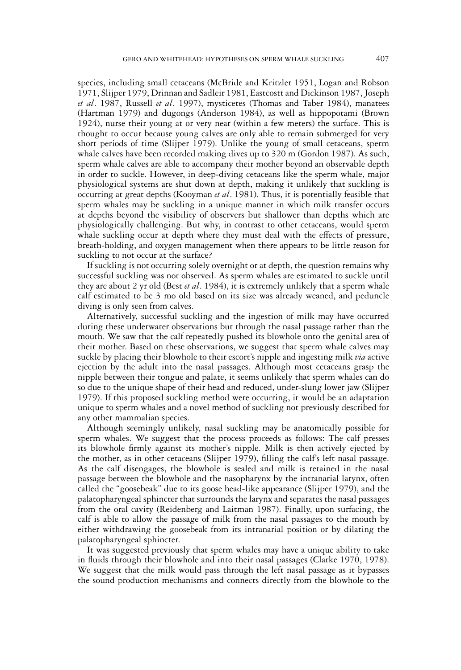species, including small cetaceans (McBride and Kritzler 1951, Logan and Robson 1971, Slijper 1979, Drinnan and Sadleir 1981, Eastcostt and Dickinson 1987, Joseph *et al*. 1987, Russell *et al*. 1997), mysticetes (Thomas and Taber 1984), manatees (Hartman 1979) and dugongs (Anderson 1984), as well as hippopotami (Brown 1924), nurse their young at or very near (within a few meters) the surface. This is thought to occur because young calves are only able to remain submerged for very short periods of time (Slijper 1979). Unlike the young of small cetaceans, sperm whale calves have been recorded making dives up to 320 m (Gordon 1987). As such, sperm whale calves are able to accompany their mother beyond an observable depth in order to suckle. However, in deep-diving cetaceans like the sperm whale, major physiological systems are shut down at depth, making it unlikely that suckling is occurring at great depths (Kooyman *et al*. 1981). Thus, it is potentially feasible that sperm whales may be suckling in a unique manner in which milk transfer occurs at depths beyond the visibility of observers but shallower than depths which are physiologically challenging. But why, in contrast to other cetaceans, would sperm whale suckling occur at depth where they must deal with the effects of pressure, breath-holding, and oxygen management when there appears to be little reason for suckling to not occur at the surface?

If suckling is not occurring solely overnight or at depth, the question remains why successful suckling was not observed. As sperm whales are estimated to suckle until they are about 2 yr old (Best *et al*. 1984), it is extremely unlikely that a sperm whale calf estimated to be 3 mo old based on its size was already weaned, and peduncle diving is only seen from calves.

Alternatively, successful suckling and the ingestion of milk may have occurred during these underwater observations but through the nasal passage rather than the mouth. We saw that the calf repeatedly pushed its blowhole onto the genital area of their mother. Based on these observations, we suggest that sperm whale calves may suckle by placing their blowhole to their escort's nipple and ingesting milk *via* active ejection by the adult into the nasal passages. Although most cetaceans grasp the nipple between their tongue and palate, it seems unlikely that sperm whales can do so due to the unique shape of their head and reduced, under-slung lower jaw (Slijper 1979). If this proposed suckling method were occurring, it would be an adaptation unique to sperm whales and a novel method of suckling not previously described for any other mammalian species.

Although seemingly unlikely, nasal suckling may be anatomically possible for sperm whales. We suggest that the process proceeds as follows: The calf presses its blowhole firmly against its mother's nipple. Milk is then actively ejected by the mother, as in other cetaceans (Slijper 1979), filling the calf's left nasal passage. As the calf disengages, the blowhole is sealed and milk is retained in the nasal passage between the blowhole and the nasopharynx by the intranarial larynx, often called the "goosebeak" due to its goose head-like appearance (Slijper 1979), and the palatopharyngeal sphincter that surrounds the larynx and separates the nasal passages from the oral cavity (Reidenberg and Laitman 1987). Finally, upon surfacing, the calf is able to allow the passage of milk from the nasal passages to the mouth by either withdrawing the goosebeak from its intranarial position or by dilating the palatopharyngeal sphincter.

It was suggested previously that sperm whales may have a unique ability to take in fluids through their blowhole and into their nasal passages (Clarke 1970, 1978). We suggest that the milk would pass through the left nasal passage as it bypasses the sound production mechanisms and connects directly from the blowhole to the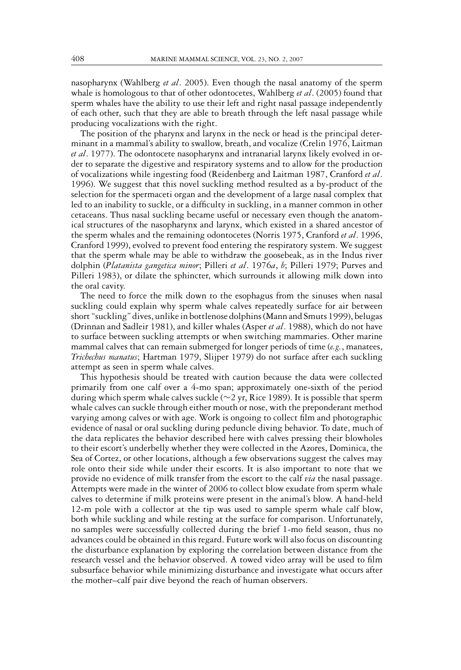nasopharynx (Wahlberg *et al*. 2005). Even though the nasal anatomy of the sperm whale is homologous to that of other odontocetes, Wahlberg *et al*. (2005) found that sperm whales have the ability to use their left and right nasal passage independently of each other, such that they are able to breath through the left nasal passage while producing vocalizations with the right.

The position of the pharynx and larynx in the neck or head is the principal determinant in a mammal's ability to swallow, breath, and vocalize (Crelin 1976, Laitman *et al*. 1977). The odontocete nasopharynx and intranarial larynx likely evolved in order to separate the digestive and respiratory systems and to allow for the production of vocalizations while ingesting food (Reidenberg and Laitman 1987, Cranford *et al*. 1996). We suggest that this novel suckling method resulted as a by-product of the selection for the spermaceti organ and the development of a large nasal complex that led to an inability to suckle, or a difficulty in suckling, in a manner common in other cetaceans. Thus nasal suckling became useful or necessary even though the anatomical structures of the nasopharynx and larynx, which existed in a shared ancestor of the sperm whales and the remaining odontocetes (Norris 1975, Cranford *et al*. 1996, Cranford 1999), evolved to prevent food entering the respiratory system. We suggest that the sperm whale may be able to withdraw the goosebeak, as in the Indus river dolphin (*Platanista gangetica minor*; Pilleri *et al*. 1976*a*, *b*; Pilleri 1979; Purves and Pilleri 1983), or dilate the sphincter, which surrounds it allowing milk down into the oral cavity.

The need to force the milk down to the esophagus from the sinuses when nasal suckling could explain why sperm whale calves repeatedly surface for air between short"suckling" dives, unlike in bottlenose dolphins (Mann and Smuts 1999), belugas (Drinnan and Sadleir 1981), and killer whales (Asper *et al*. 1988), which do not have to surface between suckling attempts or when switching mammaries. Other marine mammal calves that can remain submerged for longer periods of time (*e.g.*, manatees, *Trichechus manatus*; Hartman 1979, Slijper 1979) do not surface after each suckling attempt as seen in sperm whale calves.

This hypothesis should be treated with caution because the data were collected primarily from one calf over a 4-mo span; approximately one-sixth of the period during which sperm whale calves suckle (∼2 yr, Rice 1989). It is possible that sperm whale calves can suckle through either mouth or nose, with the preponderant method varying among calves or with age. Work is ongoing to collect film and photographic evidence of nasal or oral suckling during peduncle diving behavior. To date, much of the data replicates the behavior described here with calves pressing their blowholes to their escort's underbelly whether they were collected in the Azores, Dominica, the Sea of Cortez, or other locations, although a few observations suggest the calves may role onto their side while under their escorts. It is also important to note that we provide no evidence of milk transfer from the escort to the calf *via* the nasal passage. Attempts were made in the winter of 2006 to collect blow exudate from sperm whale calves to determine if milk proteins were present in the animal's blow. A hand-held 12-m pole with a collector at the tip was used to sample sperm whale calf blow, both while suckling and while resting at the surface for comparison. Unfortunately, no samples were successfully collected during the brief 1-mo field season, thus no advances could be obtained in this regard. Future work will also focus on discounting the disturbance explanation by exploring the correlation between distance from the research vessel and the behavior observed. A towed video array will be used to film subsurface behavior while minimizing disturbance and investigate what occurs after the mother–calf pair dive beyond the reach of human observers.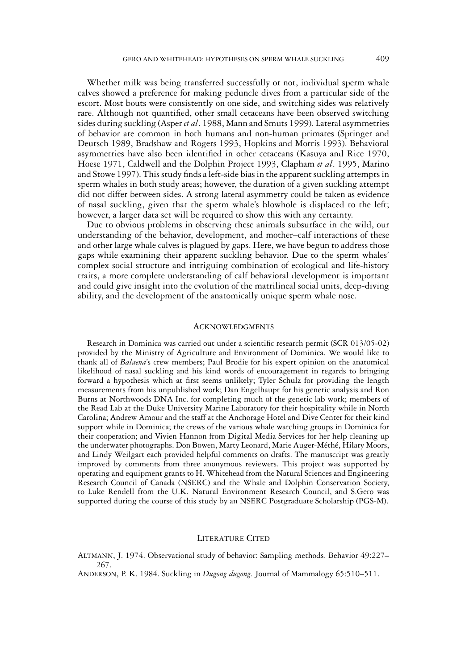Whether milk was being transferred successfully or not, individual sperm whale calves showed a preference for making peduncle dives from a particular side of the escort. Most bouts were consistently on one side, and switching sides was relatively rare. Although not quantified, other small cetaceans have been observed switching sides during suckling (Asper *et al*. 1988, Mann and Smuts 1999). Lateral asymmetries of behavior are common in both humans and non-human primates (Springer and Deutsch 1989, Bradshaw and Rogers 1993, Hopkins and Morris 1993). Behavioral asymmetries have also been identified in other cetaceans (Kasuya and Rice 1970, Hoese 1971, Caldwell and the Dolphin Project 1993, Clapham *et al*. 1995, Marino and Stowe 1997). This study finds a left-side bias in the apparent suckling attempts in sperm whales in both study areas; however, the duration of a given suckling attempt did not differ between sides. A strong lateral asymmetry could be taken as evidence of nasal suckling, given that the sperm whale's blowhole is displaced to the left; however, a larger data set will be required to show this with any certainty.

Due to obvious problems in observing these animals subsurface in the wild, our understanding of the behavior, development, and mother–calf interactions of these and other large whale calves is plagued by gaps. Here, we have begun to address those gaps while examining their apparent suckling behavior. Due to the sperm whales' complex social structure and intriguing combination of ecological and life-history traits, a more complete understanding of calf behavioral development is important and could give insight into the evolution of the matrilineal social units, deep-diving ability, and the development of the anatomically unique sperm whale nose.

#### **ACKNOWLEDGMENTS**

Research in Dominica was carried out under a scientific research permit (SCR 013/05-02) provided by the Ministry of Agriculture and Environment of Dominica. We would like to thank all of *Balaena*'s crew members; Paul Brodie for his expert opinion on the anatomical likelihood of nasal suckling and his kind words of encouragement in regards to bringing forward a hypothesis which at first seems unlikely; Tyler Schulz for providing the length measurements from his unpublished work; Dan Engelhaupt for his genetic analysis and Ron Burns at Northwoods DNA Inc. for completing much of the genetic lab work; members of the Read Lab at the Duke University Marine Laboratory for their hospitality while in North Carolina; Andrew Amour and the staff at the Anchorage Hotel and Dive Center for their kind support while in Dominica; the crews of the various whale watching groups in Dominica for their cooperation; and Vivien Hannon from Digital Media Services for her help cleaning up the underwater photographs. Don Bowen, Marty Leonard, Marie Auger-Méthé, Hilary Moors, and Lindy Weilgart each provided helpful comments on drafts. The manuscript was greatly improved by comments from three anonymous reviewers. This project was supported by operating and equipment grants to H. Whitehead from the Natural Sciences and Engineering Research Council of Canada (NSERC) and the Whale and Dolphin Conservation Society, to Luke Rendell from the U.K. Natural Environment Research Council, and S.Gero was supported during the course of this study by an NSERC Postgraduate Scholarship (PGS-M).

#### LITERATURE CITED

ALTMANN, J. 1974. Observational study of behavior: Sampling methods. Behavior 49:227– 267.

ANDERSON, P. K. 1984. Suckling in *Dugong dugong*. Journal of Mammalogy 65:510–511.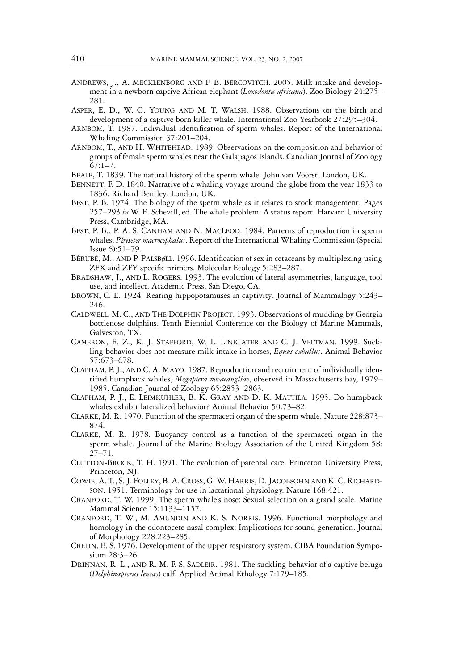- ANDREWS, J., A. MECKLENBORG AND F. B. BERCOVITCH. 2005. Milk intake and development in a newborn captive African elephant (*Loxodonta africana*). Zoo Biology 24:275– 281.
- ASPER, E. D., W. G. YOUNG AND M. T. WALSH. 1988. Observations on the birth and development of a captive born killer whale. International Zoo Yearbook 27:295–304.
- ARNBOM, T. 1987. Individual identification of sperm whales. Report of the International Whaling Commission 37:201–204.
- ARNBOM, T., AND H. WHITEHEAD. 1989. Observations on the composition and behavior of groups of female sperm whales near the Galapagos Islands. Canadian Journal of Zoology 67:1–7.
- BEALE, T. 1839. The natural history of the sperm whale. John van Voorst, London, UK.
- BENNETT, F. D. 1840. Narrative of a whaling voyage around the globe from the year 1833 to 1836. Richard Bentley, London, UK.
- BEST, P. B. 1974. The biology of the sperm whale as it relates to stock management. Pages 257–293 *in* W. E. Schevill, ed. The whale problem: A status report. Harvard University Press, Cambridge, MA.
- BEST, P. B., P. A. S. CANHAM AND N. MACLEOD. 1984. Patterns of reproduction in sperm whales, *Physeter macrocephalus*. Report of the International Whaling Commission (Special Issue 6):51–79.
- BÉRUBÉ, M., AND P. PALSBøLL. 1996. Identification of sex in cetaceans by multiplexing using ZFX and ZFY specific primers. Molecular Ecology 5:283–287.
- BRADSHAW, J., AND L. ROGERS. 1993. The evolution of lateral asymmetries, language, tool use, and intellect. Academic Press, San Diego, CA.
- BROWN, C. E. 1924. Rearing hippopotamuses in captivity. Journal of Mammalogy 5:243– 246.
- CALDWELL, M. C., AND THE DOLPHIN PROJECT. 1993. Observations of mudding by Georgia bottlenose dolphins. Tenth Biennial Conference on the Biology of Marine Mammals, Galveston, TX.
- CAMERON, E. Z., K. J. STAFFORD, W. L. LINKLATER AND C. J. VELTMAN. 1999. Suckling behavior does not measure milk intake in horses, *Equus caballus*. Animal Behavior 57:673–678.
- CLAPHAM, P. J., AND C. A. MAYO. 1987. Reproduction and recruitment of individually identified humpback whales, *Megaptera novaeangliae*, observed in Massachusetts bay, 1979– 1985. Canadian Journal of Zoology 65:2853–2863.
- CLAPHAM, P. J., E. LEIMKUHLER, B. K. GRAY AND D. K. MATTILA. 1995. Do humpback whales exhibit lateralized behavior? Animal Behavior 50:73–82.
- CLARKE, M. R. 1970. Function of the spermaceti organ of the sperm whale. Nature 228:873– 874.
- CLARKE, M. R. 1978. Buoyancy control as a function of the spermaceti organ in the sperm whale. Journal of the Marine Biology Association of the United Kingdom 58: 27–71.
- CLUTTON-BROCK, T. H. 1991. The evolution of parental care. Princeton University Press, Princeton, NJ.
- COWIE, A. T., S. J. FOLLEY, B. A. CROSS, G. W. HARRIS, D. JACOBSOHN AND K. C. RICHARD-SON. 1951. Terminology for use in lactational physiology. Nature 168:421.
- CRANFORD, T. W. 1999. The sperm whale's nose: Sexual selection on a grand scale. Marine Mammal Science 15:1133–1157.
- CRANFORD, T. W., M. AMUNDIN AND K. S. NORRIS. 1996. Functional morphology and homology in the odontocete nasal complex: Implications for sound generation. Journal of Morphology 228:223–285.
- CRELIN, E. S. 1976. Development of the upper respiratory system. CIBA Foundation Symposium 28:3–26.
- DRINNAN, R. L., AND R. M. F. S. SADLEIR. 1981. The suckling behavior of a captive beluga (*Delphinapterus leucas*) calf. Applied Animal Ethology 7:179–185.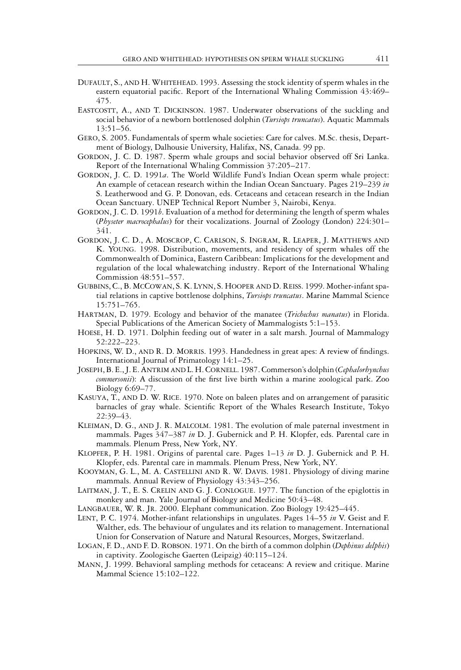- DUFAULT, S., AND H. WHITEHEAD. 1993. Assessing the stock identity of sperm whales in the eastern equatorial pacific. Report of the International Whaling Commission 43:469– 475.
- EASTCOSTT, A., AND T. DICKINSON. 1987. Underwater observations of the suckling and social behavior of a newborn bottlenosed dolphin (*Tursiops truncatus*). Aquatic Mammals 13:51–56.
- GERO, S. 2005. Fundamentals of sperm whale societies: Care for calves. M.Sc. thesis, Department of Biology, Dalhousie University, Halifax, NS, Canada. 99 pp.
- GORDON, J. C. D. 1987. Sperm whale groups and social behavior observed off Sri Lanka. Report of the International Whaling Commission 37:205–217.
- GORDON, J. C. D. 1991*a*. The World Wildlife Fund's Indian Ocean sperm whale project: An example of cetacean research within the Indian Ocean Sanctuary. Pages 219–239 *in* S. Leatherwood and G. P. Donovan, eds. Cetaceans and cetacean research in the Indian Ocean Sanctuary. UNEP Technical Report Number 3, Nairobi, Kenya.
- GORDON, J. C. D. 1991*b*. Evaluation of a method for determining the length of sperm whales (*Physeter macrocephalus*) for their vocalizations. Journal of Zoology (London) 224:301– 341.
- GORDON, J. C. D., A. MOSCROP, C. CARLSON, S. INGRAM, R. LEAPER, J. MATTHEWS AND K. YOUNG. 1998. Distribution, movements, and residency of sperm whales off the Commonwealth of Dominica, Eastern Caribbean: Implications for the development and regulation of the local whalewatching industry. Report of the International Whaling Commission 48:551–557.
- GUBBINS, C., B. MCCOWAN, S. K. LYNN, S. HOOPER AND D. REISS. 1999. Mother-infant spatial relations in captive bottlenose dolphins, *Tursiops truncatus*. Marine Mammal Science 15:751–765.
- HARTMAN, D. 1979. Ecology and behavior of the manatee (*Trichechus manatus*) in Florida. Special Publications of the American Society of Mammalogists 5:1–153.
- HOESE, H. D. 1971. Dolphin feeding out of water in a salt marsh. Journal of Mammalogy 52:222–223.
- HOPKINS, W. D., AND R. D. MORRIS. 1993. Handedness in great apes: A review of findings. International Journal of Primatology 14:1–25.
- JOSEPH, B. E., J. E. ANTRIM AND L. H. CORNELL. 1987. Commerson's dolphin (*Cephalorhynchus commersonii*): A discussion of the first live birth within a marine zoological park. Zoo Biology 6:69–77.
- KASUYA, T., AND D. W. RICE. 1970. Note on baleen plates and on arrangement of parasitic barnacles of gray whale. Scientific Report of the Whales Research Institute, Tokyo 22:39–43.
- KLEIMAN, D. G., AND J. R. MALCOLM. 1981. The evolution of male paternal investment in mammals. Pages 347–387 *in* D. J. Gubernick and P. H. Klopfer, eds. Parental care in mammals. Plenum Press, New York, NY.
- KLOPFER, P. H. 1981. Origins of parental care. Pages 1–13 *in* D. J. Gubernick and P. H. Klopfer, eds. Parental care in mammals. Plenum Press, New York, NY.
- KOOYMAN, G. L., M. A. CASTELLINI AND R. W. DAVIS. 1981. Physiology of diving marine mammals. Annual Review of Physiology 43:343–256.
- LAITMAN, J. T., E. S. CRELIN AND G. J. CONLOGUE. 1977. The function of the epiglottis in monkey and man. Yale Journal of Biology and Medicine 50:43–48.
- LANGBAUER, W. R. JR. 2000. Elephant communication. Zoo Biology 19:425–445.
- LENT, P. C. 1974. Mother-infant relationships in ungulates. Pages 14–55 *in* V. Geist and F. Walther, eds. The behaviour of ungulates and its relation to management. International Union for Conservation of Nature and Natural Resources, Morges, Switzerland.
- LOGAN, F. D., AND F. D. ROBSON. 1971. On the birth of a common dolphin (*Dephinus delphis*) in captivity. Zoologische Gaerten (Leipzig) 40:115–124.
- MANN, J. 1999. Behavioral sampling methods for cetaceans: A review and critique. Marine Mammal Science 15:102–122.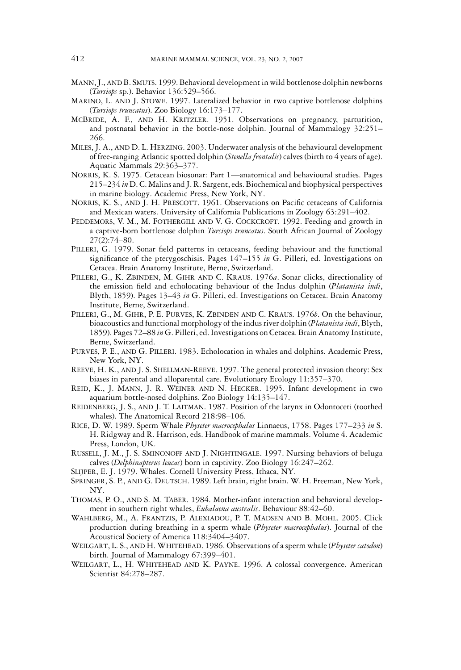- MANN, J., AND B. SMUTS. 1999. Behavioral development in wild bottlenose dolphin newborns (*Tursiops* sp.). Behavior 136:529–566.
- MARINO, L. AND J. STOWE. 1997. Lateralized behavior in two captive bottlenose dolphins (*Tursiops truncatus*). Zoo Biology 16:173–177.
- MCBRIDE, A. F., AND H. KRITZLER. 1951. Observations on pregnancy, parturition, and postnatal behavior in the bottle-nose dolphin. Journal of Mammalogy 32:251– 266.
- MILES, J. A., AND D. L. HERZING. 2003. Underwater analysis of the behavioural development of free-ranging Atlantic spotted dolphin (*Stenella frontalis*) calves (birth to 4 years of age). Aquatic Mammals 29:363–377.
- NORRIS, K. S. 1975. Cetacean biosonar: Part 1—anatomical and behavioural studies. Pages 215–234 *in* D. C. Malins and J. R. Sargent, eds. Biochemical and biophysical perspectives in marine biology. Academic Press, New York, NY.
- NORRIS, K. S., AND J. H. PRESCOTT. 1961. Observations on Pacific cetaceans of California and Mexican waters. University of California Publications in Zoology 63:291–402.
- PEDDEMORS, V. M., M. FOTHERGILL AND V. G. COCKCROFT. 1992. Feeding and growth in a captive-born bottlenose dolphin *Tursiops truncatus*. South African Journal of Zoology 27(2):74–80.
- PILLERI, G. 1979. Sonar field patterns in cetaceans, feeding behaviour and the functional significance of the pterygoschisis. Pages 147–155 *in* G. Pilleri, ed. Investigations on Cetacea. Brain Anatomy Institute, Berne, Switzerland.
- PILLERI, G., K. ZBINDEN, M. GIHR AND C. KRAUS. 1976*a*. Sonar clicks, directionality of the emission field and echolocating behaviour of the Indus dolphin (*Platanista indi*, Blyth, 1859). Pages 13–43 *in* G. Pilleri, ed. Investigations on Cetacea. Brain Anatomy Institute, Berne, Switzerland.
- PILLERI, G., M. GIHR, P. E. PURVES, K. ZBINDEN AND C. KRAUS. 1976*b*. On the behaviour, bioacoustics and functional morphology of the indus river dolphin (*Platanista indi*, Blyth, 1859). Pages 72–88 *in* G. Pilleri, ed. Investigations on Cetacea. Brain Anatomy Institute, Berne, Switzerland.
- PURVES, P. E., AND G. PILLERI. 1983. Echolocation in whales and dolphins. Academic Press, New York, NY.
- REEVE, H. K., AND J. S. SHELLMAN-REEVE. 1997. The general protected invasion theory: Sex biases in parental and alloparental care. Evolutionary Ecology 11:357–370.
- REID, K., J. MANN, J. R. WEINER AND N. HECKER. 1995. Infant development in two aquarium bottle-nosed dolphins. Zoo Biology 14:135–147.
- REIDENBERG, J. S., AND J. T. LAITMAN. 1987. Position of the larynx in Odontoceti (toothed whales). The Anatomical Record 218:98–106.
- RICE, D. W. 1989. Sperm Whale *Physeter macrocephalus* Linnaeus, 1758. Pages 177–233 *in* S. H. Ridgway and R. Harrison, eds. Handbook of marine mammals. Volume 4. Academic Press, London, UK.
- RUSSELL, J. M., J. S. SMINONOFF AND J. NIGHTINGALE. 1997. Nursing behaviors of beluga calves (*Delphinapterus leucas*) born in captivity. Zoo Biology 16:247–262.
- SLIJPER, E. J. 1979. Whales. Cornell University Press, Ithaca, NY.
- SPRINGER, S. P., AND G. DEUTSCH. 1989. Left brain, right brain. W. H. Freeman, New York, NY.
- THOMAS, P. O., AND S. M. TABER. 1984. Mother-infant interaction and behavioral development in southern right whales, *Eubalaena australis*. Behaviour 88:42–60.
- WAHLBERG, M., A. FRANTZIS, P. ALEXIADOU, P. T. MADSEN AND B. MOHL. 2005. Click production during breathing in a sperm whale (*Physeter macrocephalus*). Journal of the Acoustical Society of America 118:3404–3407.
- WEILGART, L. S., AND H. WHITEHEAD. 1986. Observations of a sperm whale (*Physeter catodon*) birth. Journal of Mammalogy 67:399–401.
- WEILGART, L., H. WHITEHEAD AND K. PAYNE. 1996. A colossal convergence. American Scientist 84:278–287.